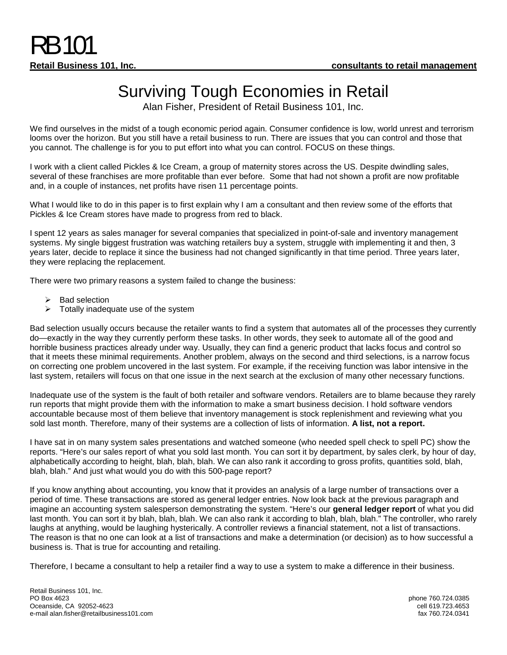## Surviving Tough Economies in Retail

Alan Fisher, President of Retail Business 101, Inc.

We find ourselves in the midst of a tough economic period again. Consumer confidence is low, world unrest and terrorism looms over the horizon. But you still have a retail business to run. There are issues that you can control and those that you cannot. The challenge is for you to put effort into what you can control. FOCUS on these things.

I work with a client called Pickles & Ice Cream, a group of maternity stores across the US. Despite dwindling sales, several of these franchises are more profitable than ever before. Some that had not shown a profit are now profitable and, in a couple of instances, net profits have risen 11 percentage points.

What I would like to do in this paper is to first explain why I am a consultant and then review some of the efforts that Pickles & Ice Cream stores have made to progress from red to black.

I spent 12 years as sales manager for several companies that specialized in point-of-sale and inventory management systems. My single biggest frustration was watching retailers buy a system, struggle with implementing it and then, 3 years later, decide to replace it since the business had not changed significantly in that time period. Three years later, they were replacing the replacement.

There were two primary reasons a system failed to change the business:

- $\triangleright$  Bad selection
- $\triangleright$  Totally inadequate use of the system

Bad selection usually occurs because the retailer wants to find a system that automates all of the processes they currently do—exactly in the way they currently perform these tasks. In other words, they seek to automate all of the good and horrible business practices already under way. Usually, they can find a generic product that lacks focus and control so that it meets these minimal requirements. Another problem, always on the second and third selections, is a narrow focus on correcting one problem uncovered in the last system. For example, if the receiving function was labor intensive in the last system, retailers will focus on that one issue in the next search at the exclusion of many other necessary functions.

Inadequate use of the system is the fault of both retailer and software vendors. Retailers are to blame because they rarely run reports that might provide them with the information to make a smart business decision. I hold software vendors accountable because most of them believe that inventory management is stock replenishment and reviewing what you sold last month. Therefore, many of their systems are a collection of lists of information. **A list, not a report.**

I have sat in on many system sales presentations and watched someone (who needed spell check to spell PC) show the reports. "Here's our sales report of what you sold last month. You can sort it by department, by sales clerk, by hour of day, alphabetically according to height, blah, blah, blah. We can also rank it according to gross profits, quantities sold, blah, blah, blah." And just what would you do with this 500-page report?

If you know anything about accounting, you know that it provides an analysis of a large number of transactions over a period of time. These transactions are stored as general ledger entries. Now look back at the previous paragraph and imagine an accounting system salesperson demonstrating the system. "Here's our **general ledger report** of what you did last month. You can sort it by blah, blah, blah. We can also rank it according to blah, blah, blah." The controller, who rarely laughs at anything, would be laughing hysterically. A controller reviews a financial statement, not a list of transactions. The reason is that no one can look at a list of transactions and make a determination (or decision) as to how successful a business is. That is true for accounting and retailing.

Therefore, I became a consultant to help a retailer find a way to use a system to make a difference in their business.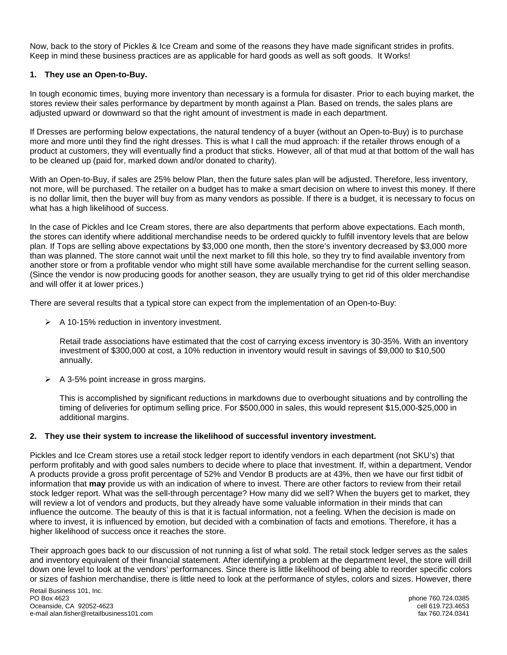Now, back to the story of Pickles & Ice Cream and some of the reasons they have made significant strides in profits. Keep in mind these business practices are as applicable for hard goods as well as soft goods. It Works!

## **1. They use an Open-to-Buy.**

In tough economic times, buying more inventory than necessary is a formula for disaster. Prior to each buying market, the stores review their sales performance by department by month against a Plan. Based on trends, the sales plans are adjusted upward or downward so that the right amount of investment is made in each department.

If Dresses are performing below expectations, the natural tendency of a buyer (without an Open-to-Buy) is to purchase more and more until they find the right dresses. This is what I call the mud approach: if the retailer throws enough of a product at customers, they will eventually find a product that sticks. However, all of that mud at that bottom of the wall has to be cleaned up (paid for, marked down and/or donated to charity).

With an Open-to-Buy, if sales are 25% below Plan, then the future sales plan will be adjusted. Therefore, less inventory, not more, will be purchased. The retailer on a budget has to make a smart decision on where to invest this money. If there is no dollar limit, then the buyer will buy from as many vendors as possible. If there is a budget, it is necessary to focus on what has a high likelihood of success.

In the case of Pickles and Ice Cream stores, there are also departments that perform above expectations. Each month, the stores can identify where additional merchandise needs to be ordered quickly to fulfill inventory levels that are below plan. If Tops are selling above expectations by \$3,000 one month, then the store's inventory decreased by \$3,000 more than was planned. The store cannot wait until the next market to fill this hole, so they try to find available inventory from another store or from a profitable vendor who might still have some available merchandise for the current selling season. (Since the vendor is now producing goods for another season, they are usually trying to get rid of this older merchandise and will offer it at lower prices.)

There are several results that a typical store can expect from the implementation of an Open-to-Buy:

 $\triangleright$  A 10-15% reduction in inventory investment.

Retail trade associations have estimated that the cost of carrying excess inventory is 30-35%. With an inventory investment of \$300,000 at cost, a 10% reduction in inventory would result in savings of \$9,000 to \$10,500 annually.

 $\triangleright$  A 3-5% point increase in gross margins.

This is accomplished by significant reductions in markdowns due to overbought situations and by controlling the timing of deliveries for optimum selling price. For \$500,000 in sales, this would represent \$15,000-\$25,000 in additional margins.

## **2. They use their system to increase the likelihood of successful inventory investment.**

Pickles and Ice Cream stores use a retail stock ledger report to identify vendors in each department (not SKU's) that perform profitably and with good sales numbers to decide where to place that investment. If, within a department, Vendor A products provide a gross profit percentage of 52% and Vendor B products are at 43%, then we have our first tidbit of information that **may** provide us with an indication of where to invest. There are other factors to review from their retail stock ledger report. What was the sell-through percentage? How many did we sell? When the buyers get to market, they will review a lot of vendors and products, but they already have some valuable information in their minds that can influence the outcome. The beauty of this is that it is factual information, not a feeling. When the decision is made on where to invest, it is influenced by emotion, but decided with a combination of facts and emotions. Therefore, it has a higher likelihood of success once it reaches the store.

Their approach goes back to our discussion of not running a list of what sold. The retail stock ledger serves as the sales and inventory equivalent of their financial statement. After identifying a problem at the department level, the store will drill down one level to look at the vendors' performances. Since there is little likelihood of being able to reorder specific colors or sizes of fashion merchandise, there is little need to look at the performance of styles, colors and sizes. However, there